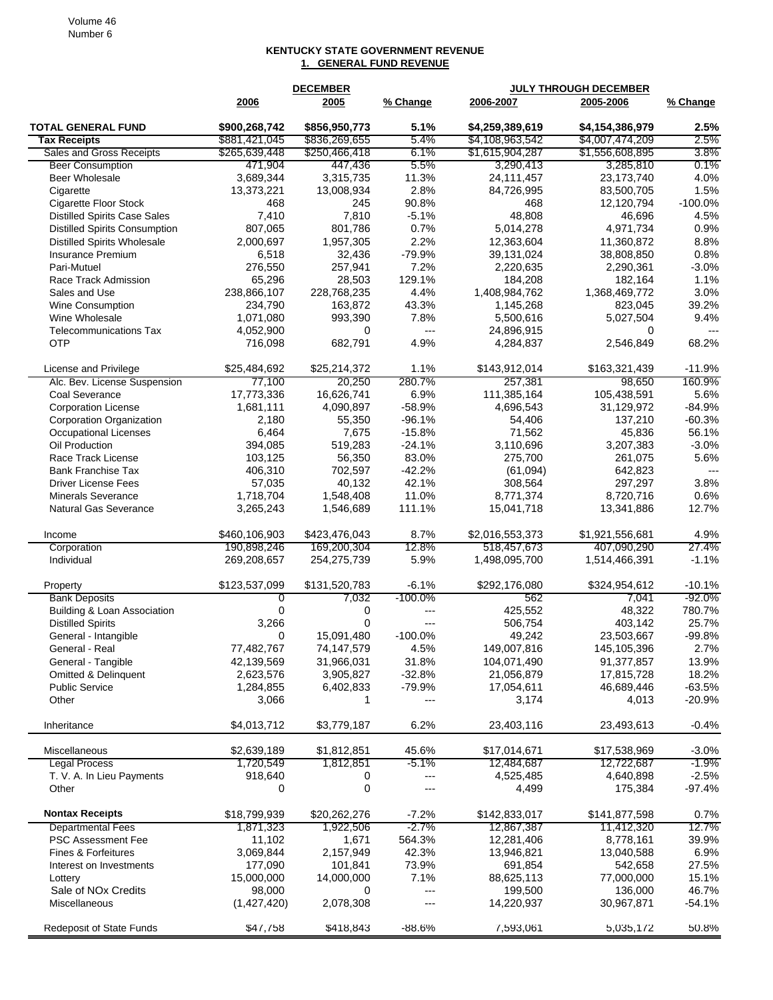## **KENTUCKY STATE GOVERNMENT REVENUE 1. GENERAL FUND REVENUE**

|                                      |               | <b>DECEMBER</b> |            |                 | <b>JULY THROUGH DECEMBER</b> |                |
|--------------------------------------|---------------|-----------------|------------|-----------------|------------------------------|----------------|
|                                      | 2006          | 2005            | % Change   | 2006-2007       | 2005-2006                    | % Change       |
| <b>TOTAL GENERAL FUND</b>            | \$900,268,742 | \$856,950,773   | 5.1%       | \$4,259,389,619 | \$4,154,386,979              | 2.5%           |
| <b>Tax Receipts</b>                  | \$881,421,045 | \$836,269,655   | 5.4%       | \$4,108,963,542 | \$4,007,474,209              | 2.5%           |
| Sales and Gross Receipts             | \$265,639,448 | \$250,466,418   | 6.1%       | \$1,615,904,287 | \$1,556,608,895              | 3.8%           |
| <b>Beer Consumption</b>              | 471,904       | 447,436         | 5.5%       | 3,290,413       | 3,285,810                    | $0.1\%$        |
| Beer Wholesale                       | 3,689,344     | 3,315,735       | 11.3%      | 24,111,457      | 23,173,740                   | 4.0%           |
| Cigarette                            | 13,373,221    | 13,008,934      | 2.8%       | 84,726,995      | 83,500,705                   | 1.5%           |
| Cigarette Floor Stock                | 468           | 245             | 90.8%      | 468             | 12,120,794                   | $-100.0%$      |
| <b>Distilled Spirits Case Sales</b>  | 7,410         | 7,810           | $-5.1%$    | 48,808          | 46,696                       | 4.5%           |
| <b>Distilled Spirits Consumption</b> | 807.065       | 801,786         | 0.7%       | 5,014,278       | 4,971,734                    | 0.9%           |
| <b>Distilled Spirits Wholesale</b>   | 2,000,697     | 1,957,305       | 2.2%       | 12,363,604      | 11,360,872                   | 8.8%           |
| Insurance Premium                    | 6,518         | 32,436          | -79.9%     | 39,131,024      | 38,808,850                   | 0.8%           |
| Pari-Mutuel                          | 276,550       | 257,941         | 7.2%       | 2,220,635       | 2,290,361                    | $-3.0%$        |
| Race Track Admission                 | 65,296        | 28,503          | 129.1%     | 184,208         | 182,164                      | 1.1%           |
| Sales and Use                        | 238,866,107   | 228,768,235     | 4.4%       | 1,408,984,762   | 1,368,469,772                | 3.0%           |
| Wine Consumption                     | 234,790       | 163,872         | 43.3%      | 1,145,268       | 823,045                      | 39.2%          |
| Wine Wholesale                       | 1,071,080     | 993,390         | 7.8%       | 5,500,616       | 5,027,504                    | 9.4%           |
| <b>Telecommunications Tax</b>        | 4,052,900     | 0               | $---$      | 24,896,915      | 0                            | $\overline{a}$ |
| <b>OTP</b>                           | 716,098       | 682,791         | 4.9%       | 4,284,837       | 2,546,849                    | 68.2%          |
| License and Privilege                | \$25,484,692  | \$25,214,372    | 1.1%       | \$143,912,014   | \$163,321,439                | $-11.9%$       |
| Alc. Bev. License Suspension         | 77,100        | 20,250          | 280.7%     | 257,381         | 98,650                       | 160.9%         |
| Coal Severance                       | 17,773,336    | 16,626,741      | 6.9%       | 111,385,164     | 105,438,591                  | 5.6%           |
| <b>Corporation License</b>           | 1,681,111     | 4,090,897       | $-58.9%$   | 4,696,543       | 31,129,972                   | $-84.9%$       |
| <b>Corporation Organization</b>      | 2,180         | 55,350          | $-96.1%$   | 54,406          | 137,210                      | $-60.3%$       |
| <b>Occupational Licenses</b>         | 6,464         | 7,675           | $-15.8%$   | 71,562          | 45,836                       | 56.1%          |
| Oil Production                       | 394,085       | 519,283         | $-24.1%$   | 3,110,696       | 3,207,383                    | $-3.0%$        |
| Race Track License                   | 103,125       | 56,350          | 83.0%      | 275,700         | 261,075                      | 5.6%           |
| <b>Bank Franchise Tax</b>            | 406,310       | 702,597         | $-42.2%$   | (61,094)        | 642,823                      | $\overline{a}$ |
| <b>Driver License Fees</b>           | 57,035        | 40,132          | 42.1%      | 308,564         | 297,297                      | 3.8%           |
| <b>Minerals Severance</b>            | 1,718,704     | 1,548,408       | 11.0%      | 8,771,374       | 8,720,716                    | 0.6%           |
| <b>Natural Gas Severance</b>         | 3,265,243     | 1,546,689       | 111.1%     | 15,041,718      | 13,341,886                   | 12.7%          |
| Income                               | \$460,106,903 | \$423,476,043   | 8.7%       | \$2,016,553,373 | \$1,921,556,681              | 4.9%           |
| Corporation                          | 190,898,246   | 169,200,304     | 12.8%      | 518,457,673     | 407,090,290                  | 27.4%          |
| Individual                           | 269,208,657   | 254,275,739     | 5.9%       | 1,498,095,700   | 1,514,466,391                | $-1.1%$        |
| Property                             | \$123,537,099 | \$131,520,783   | $-6.1%$    | \$292,176,080   | \$324,954,612                | $-10.1%$       |
| <b>Bank Deposits</b>                 | 0             | 7,032           | $-100.0\%$ | 562             | 7,041                        | $-92.0\%$      |
| Building & Loan Association          | 0             | 0               | ---        | 425,552         | 48,322                       | 780.7%         |
| <b>Distilled Spirits</b>             | 3,266         | 0               | $---$      | 506,754         | 403,142                      | 25.7%          |
| General - Intangible                 | 0             | 15,091,480      | $-100.0\%$ | 49,242          | 23,503,667                   | $-99.8%$       |
| General - Real                       | 77,482,767    | 74,147,579      | 4.5%       | 149,007,816     | 145,105,396                  | 2.7%           |
| General - Tangible                   | 42,139,569    | 31,966,031      | 31.8%      | 104,071,490     | 91,377,857                   | 13.9%          |
| <b>Omitted &amp; Delinquent</b>      | 2,623,576     | 3,905,827       | $-32.8%$   | 21,056,879      | 17,815,728                   | 18.2%          |
| <b>Public Service</b>                | 1,284,855     | 6,402,833       | $-79.9%$   | 17,054,611      | 46,689,446                   | $-63.5%$       |
| Other                                | 3,066         | 1               | $---$      | 3,174           | 4,013                        | $-20.9%$       |
| Inheritance                          | \$4,013,712   | \$3,779,187     | 6.2%       | 23,403,116      | 23,493,613                   | $-0.4%$        |
| Miscellaneous                        | \$2,639,189   | \$1,812,851     | 45.6%      | \$17,014,671    | \$17,538,969                 | $-3.0%$        |
| <b>Legal Process</b>                 | 1,720,549     | 1,812,851       | -5.1%      | 12,484,687      | 12,722,687                   | $-1.9\%$       |
| T. V. A. In Lieu Payments            | 918,640       | 0               | ---        | 4,525,485       | 4,640,898                    | $-2.5%$        |
| Other                                | 0             | 0               | $---$      | 4,499           | 175,384                      | $-97.4%$       |
| <b>Nontax Receipts</b>               | \$18,799,939  | \$20,262,276    | $-7.2%$    | \$142,833,017   | \$141,877,598                | 0.7%           |
| <b>Departmental Fees</b>             | 1,871,323     | 1,922,506       | $-2.7%$    | 12,867,387      | 11,412,320                   | 12.7%          |
| PSC Assessment Fee                   | 11,102        | 1,671           | 564.3%     | 12,281,406      | 8,778,161                    | 39.9%          |
| Fines & Forfeitures                  | 3,069,844     | 2,157,949       | 42.3%      | 13,946,821      | 13,040,588                   | 6.9%           |
| Interest on Investments              | 177,090       | 101,841         | 73.9%      | 691,854         | 542,658                      | 27.5%          |
| Lottery                              | 15,000,000    | 14,000,000      | 7.1%       | 88,625,113      | 77,000,000                   | 15.1%          |
| Sale of NO <sub>x</sub> Credits      | 98,000        | 0               | ---        | 199,500         | 136,000                      | 46.7%          |
| Miscellaneous                        | (1,427,420)   | 2,078,308       | ---        | 14,220,937      | 30,967,871                   | $-54.1%$       |
| Redeposit of State Funds             | \$47,758      | \$418,843       | -88.6%     | 7,593,061       | 5,035,172                    | 50.8%          |